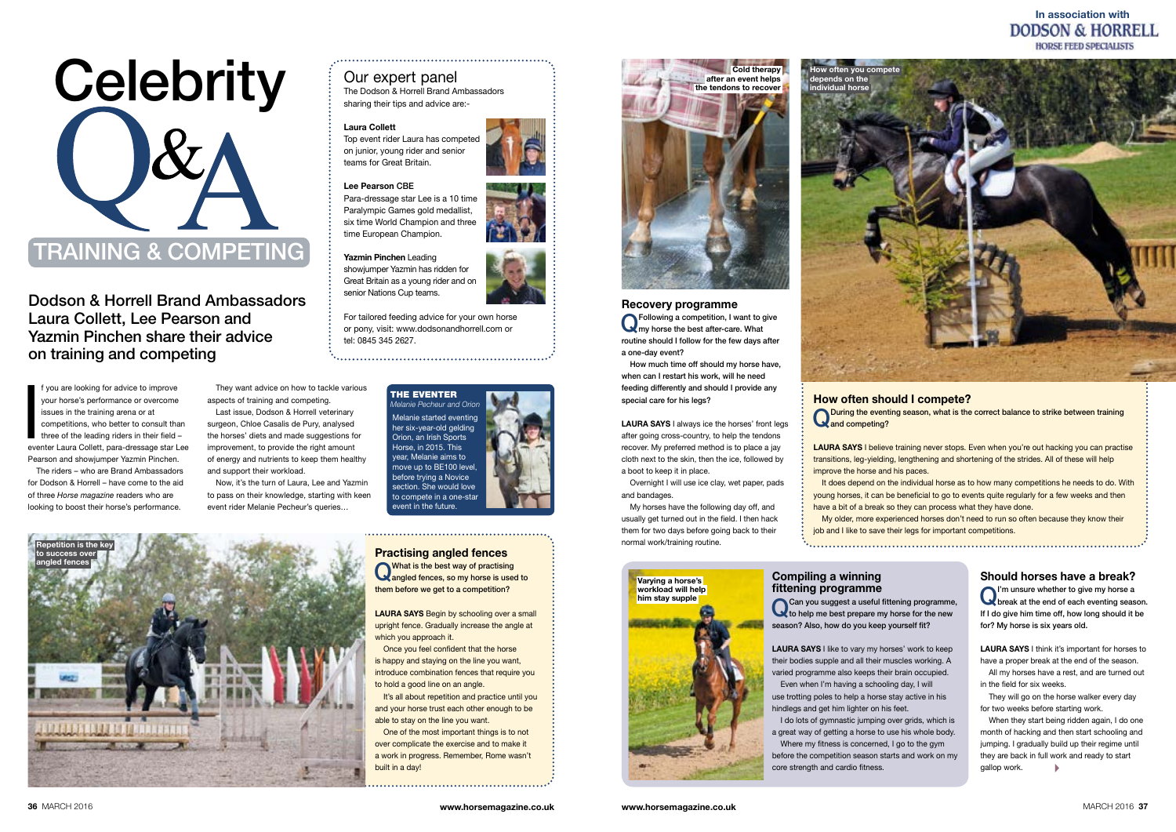4 When they start being ridden again, I do one month of hacking and then start schooling and jumping. I gradually build up their regime until they are back in full work and ready to start gallop work.

Dodson & Horrell Brand Ambassadors Laura Collett, Lee Pearson and Yazmin Pinchen share their advice on training and competing

the eventer

# In association with<br>DODSON & HORRELL **HORSE FEED SPECIALISTS**

## Our expert panel

The Dodson & Horrell Brand Ambassadors sharing their tips and advice are:-

#### Laura Collett

Top event rider Laura has competed on junior, young rider and senior teams for Great Britain.

#### Lee Pearson CBE

Para-dressage star Lee is a 10 time Paralympic Games gold medallist, six time World Champion and three time European Champion.

> LAURA SAYS I think it's important for horses to have a proper break at the end of the season.

#### Yazmin Pinchen Leading

They will go on the horse walker every day for two weeks before starting work.

showjumper Yazmin has ridden for Great Britain as a young rider and on senior Nations Cup teams.



For tailored feeding advice for your own horse or pony, visit: www.dodsonandhorrell.com or tel: 0845 345 2627.



Should horses have a break? QI'm unsure whether to give my horse a break at the end of each eventing season. If I do give him time off, how long should it be for? My horse is six years old.

*Melanie Pecheur and Orion* Melanie started eventing her six-year-old gelding Orion, an Irish Sports Horse, in 2015. This year, Melanie aims to move up to BE100 level, before trying a Novice section. She would love to compete in a one-star

f you are looking for advice to improve<br>your horse's performance or overcome<br>issues in the training arena or at<br>competitions, who better to consult than<br>three of the leading riders in their field –<br>eventer Laura Collett, p f you are looking for advice to improve your horse's performance or overcome issues in the training arena or at competitions, who better to consult than three of the leading riders in their field – Pearson and showjumper Yazmin Pinchen.

> All my horses have a rest, and are turned out in the field for six weeks.

LAURA SAYS I believe training never stops. Even when you're out hacking you can practise transitions, leg-yielding, lengthening and shortening of the strides. All of these will help improve the horse and his paces.

event in the future.

**O**Following a competition, I want to give<br> **O**my horse the best after-care. What routine should I follow for the few days after a one-day event?

LAURA SAYS I always ice the horses' front legs after going cross-country, to help the tendons recover. My preferred method is to place a jay cloth next to the skin, then the ice, followed by a boot to keep it in place.

The riders – who are Brand Ambassadors for Dodson & Horrell – have come to the aid of three *Horse magazine* readers who are looking to boost their horse's performance.

> What is the best way of practising<br>
> angled fences, so my horse is used to them before we get to a competition?

LAURA SAYS Begin by schooling over a small upright fence. Gradually increase the angle at which you approach it.

#### How often should I compete?

Q During the eventing season, what is the correct balance to strike between training and competing?

**O**Can you suggest a useful fittening programme,<br>to help me best prepare my horse for the new season? Also, how do you keep yourself fit?

**LAURA SAYS I like to vary my horses' work to keep** their bodies supple and all their muscles working. A varied programme also keeps their brain occupied. Even when I'm having a schooling day, I will

It does depend on the individual horse as to how many competitions he needs to do. With young horses, it can be beneficial to go to events quite regularly for a few weeks and then have a bit of a break so they can process what they have done.

My older, more experienced horses don't need to run so often because they know their job and I like to save their legs for important competitions.

I do lots of gymnastic jumping over grids, which is a great way of getting a horse to use his whole body. Where my fitness is concerned. I go to the gym before the competition season starts and work on my core strength and cardio fitness.



# Varying a horse's workload will help him stay supple

They want advice on how to tackle various aspects of training and competing.

Last issue, Dodson & Horrell veterinary surgeon, Chloe Casalis de Pury, analysed the horses' diets and made suggestions for improvement, to provide the right amount of energy and nutrients to keep them healthy and support their workload.

Now, it's the turn of Laura, Lee and Yazmin to pass on their knowledge, starting with keen event rider Melanie Pecheur's queries…

# Recovery programme

How much time off should my horse have, when can I restart his work, will he need feeding differently and should I provide any special care for his legs?

Overnight I will use ice clay, wet paper, pads and bandages.

My horses have the following day off, and usually get turned out in the field. I then hack them for two days before going back to their normal work/training routine.

# Practising angled fences

Once you feel confident that the horse is happy and staying on the line you want, introduce combination fences that require you to hold a good line on an angle.

It's all about repetition and practice until you and your horse trust each other enough to be able to stay on the line you want.

One of the most important things is to not over complicate the exercise and to make it a work in progress. Remember, Rome wasn't built in a day!

Compiling a winning fittening programme

use trotting poles to help a horse stay active in his hindlegs and get him lighter on his feet.







individual horse